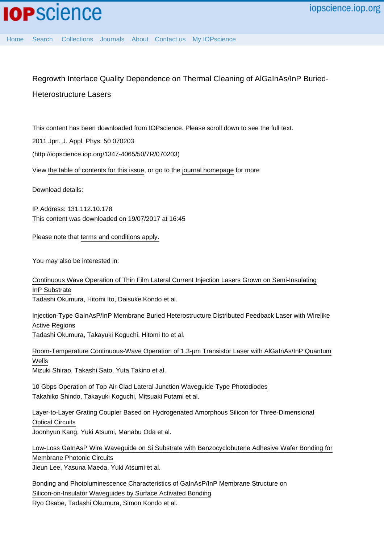[Home](http://iopscience.iop.org/) [Search](http://iopscience.iop.org/search) [Collections](http://iopscience.iop.org/collections) [Journals](http://iopscience.iop.org/journals) [About](http://iopscience.iop.org/page/aboutioppublishing) [Contact us](http://iopscience.iop.org/contact) [My IOPscience](http://iopscience.iop.org/myiopscience)

## Regrowth Interface Quality Dependence on Thermal Cleaning of AlGaInAs/InP Buried-

## Heterostructure Lasers

This content has been downloaded from IOPscience. Please scroll down to see the full text.

2011 Jpn. J. Appl. Phys. 50 070203

(http://iopscience.iop.org/1347-4065/50/7R/070203)

View [the table of contents for this issue](http://iopscience.iop.org/1347-4065/50/7R), or go to the [journal homepage](http://iopscience.iop.org/1347-4065) for more

Download details:

IP Address: 131.112.10.178 This content was downloaded on 19/07/2017 at 16:45

Please note that [terms and conditions apply.](http://iopscience.iop.org/page/terms)

You may also be interested in:

[Continuous Wave Operation of Thin Film Lateral Current Injection Lasers Grown on Semi-Insulating](http://iopscience.iop.org/article/10.1143/JJAP.49.040205) [InP Substrate](http://iopscience.iop.org/article/10.1143/JJAP.49.040205)

Tadashi Okumura, Hitomi Ito, Daisuke Kondo et al.

[Injection-Type GaInAsP/InP Membrane Buried Heterostructure Distributed Feedback Laser with Wirelike](http://iopscience.iop.org/article/10.1143/APEX.4.042101) [Active Regions](http://iopscience.iop.org/article/10.1143/APEX.4.042101)

Tadashi Okumura, Takayuki Koguchi, Hitomi Ito et al.

[Room-Temperature Continuous-Wave Operation of 1.3-µm Transistor Laser with AlGaInAs/InP Quantum](http://iopscience.iop.org/article/10.1143/APEX.4.072101) [Wells](http://iopscience.iop.org/article/10.1143/APEX.4.072101) Mizuki Shirao, Takashi Sato, Yuta Takino et al.

[10 Gbps Operation of Top Air-Clad Lateral Junction Waveguide-Type Photodiodes](http://iopscience.iop.org/article/10.7567/JJAP.52.118002) Takahiko Shindo, Takayuki Koguchi, Mitsuaki Futami et al.

[Layer-to-Layer Grating Coupler Based on Hydrogenated Amorphous Silicon for Three-Dimensional](http://iopscience.iop.org/article/10.1143/JJAP.51.120203) [Optical Circuits](http://iopscience.iop.org/article/10.1143/JJAP.51.120203)

Joonhyun Kang, Yuki Atsumi, Manabu Oda et al.

[Low-Loss GaInAsP Wire Waveguide on Si Substrate with Benzocyclobutene Adhesive Wafer Bonding for](http://iopscience.iop.org/article/10.1143/JJAP.51.042201) [Membrane Photonic Circuits](http://iopscience.iop.org/article/10.1143/JJAP.51.042201)

Jieun Lee, Yasuna Maeda, Yuki Atsumi et al.

[Bonding and Photoluminescence Characteristics of GaInAsP/InP Membrane Structure on](http://iopscience.iop.org/article/10.1143/JJAP.50.088005) [Silicon-on-Insulator Waveguides by Surface Activated Bonding](http://iopscience.iop.org/article/10.1143/JJAP.50.088005) Ryo Osabe, Tadashi Okumura, Simon Kondo et al.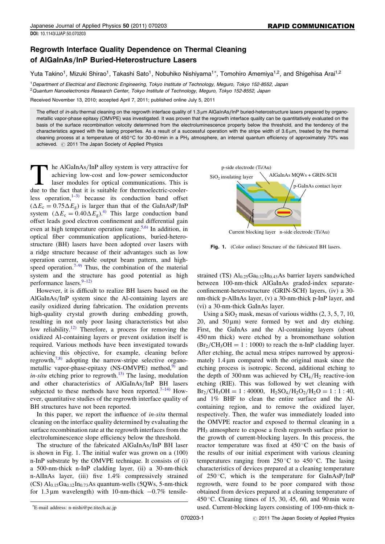## Regrowth Interface Quality Dependence on Thermal Cleaning of AlGaInAs/InP Buried-Heterostructure Lasers

Yuta Takino<sup>1</sup>, Mizuki Shirao<sup>1</sup>, Takashi Sato<sup>1</sup>, Nobuhiko Nishiyama<sup>1\*</sup>, Tomohiro Amemiya<sup>1,2</sup>, and Shigehisa Arai<sup>1,2</sup>

<sup>1</sup>Department of Electrical and Electronic Engineering, Tokyo Institute of Technology, Meguro, Tokyo 152-8552, Japan <sup>2</sup> Quantum Nanoelectronics Research Center, Tokyo Institute of Technology, Meguro, Tokyo 152-8552, Japan

Received November 13, 2010; accepted April 7, 2011; published online July 5, 2011

The effect of in-situ thermal cleaning on the regrowth interface quality of 1.3 µm AlGaInAs/InP buried-heterostructure lasers prepared by organometallic vapor-phase epitaxy (OMVPE) was investigated. It was proven that the regrowth interface quality can be quantitatively evaluated on the basis of the surface recombination velocity determined from the electroluminescence property below the threshold, and the tendency of the characteristics agreed with the lasing properties. As a result of a successful operation with the stripe width of 3.6 um, treated by the thermal cleaning process at a temperature of 450 °C for 30–60 min in a PH<sub>3</sub> atmosphere, an internal quantum efficiency of approximately 70% was achieved.  $\oslash$  2011 The Japan Society of Applied Physics

The AlGaInAs/InP alloy system is very attractive for achieving low-cost and low-power semiconductor laser modules for optical communications. This is due to the fact that it is suitable for thermoelectric-coolerless operation, $1-3$  because its conduction band offset  $(\Delta E_c = 0.75 \Delta E_g)$  is larger than that of the GaInAsP/InP system  $(\Delta E_c = 0.40 \Delta E_g)^{4}$  This large conduction band offset leads good electron confinement and differential gain even at high temperature operation range.<sup>[5,6\)](#page-3-0)</sup> In addition, in optical fiber communication applications, buried-heterostructure (BH) lasers have been adopted over lasers with a ridge structure because of their advantages such as low operation current, stable output beam pattern, and high-speed operation.<sup>[7–9\)](#page-3-0)</sup> Thus, the combination of the material system and the structure has good potential as high performance lasers. $9-12$ 

However, it is difficult to realize BH lasers based on the AlGaInAs/InP system since the Al-containing layers are easily oxidized during fabrication. The oxidation prevents high-quality crystal growth during embedding growth, resulting in not only poor lasing characteristics but also low reliability.<sup>[12\)](#page-3-0)</sup> Therefore, a process for removing the oxidized Al-containing layers or prevent oxidation itself is required. Various methods have been investigated towards achieving this objective, for example, cleaning before regrowth, $7,8$ ) adopting the narrow-stripe selective organometallic vapor-phase-epitaxy (NS-OMVPE) method, $9$  and in-situ etching prior to regrowth.<sup>[13\)](#page-3-0)</sup> The lasing, modulation and other characteristics of AlGaInAs/InP BH lasers subjected to these methods have been reported.<sup>[7–14\)](#page-3-0)</sup> However, quantitative studies of the regrowth interface quality of BH structures have not been reported.

In this paper, we report the influence of in-situ thermal cleaning on the interface quality determined by evaluating the surface recombination rate at the regrowth interfaces from the electroluminescence slope efficiency below the threshold.

The structure of the fabricated AlGaInAs/InP BH laser is shown in Fig. 1. The initial wafer was grown on a (100) n-InP substrate by the OMVPE technique. It consists of (i) a 500-nm-thick n-InP cladding layer, (ii) a 30-nm-thick n-AlInAs layer, (iii) five 1.4% compressively strained (CS)  $Al<sub>0.15</sub>Ga<sub>0.12</sub>In<sub>0.73</sub>As quantum-wells (5QWs, 5-nm-thick)$ for 1.3  $\mu$ m wavelength) with 10-nm-thick  $-0.7\%$  tensile-



Fig. 1. (Color online) Structure of the fabricated BH lasers.

strained (TS)  $\text{Al}_{0.25}\text{Ga}_{0.32}\text{In}_{0.43}\text{As barrier layers sandwiched}$ between 100-nm-thick AlGaInAs graded-index separateconfinement-heterostructure (GRIN-SCH) layers, (iv) a 30 nm-thick p-AlInAs layer, (v) a 30-nm-thick p-InP layer, and (vi) a 30-nm-thick GaInAs layer.

Using a  $SiO<sub>2</sub>$  mask, mesas of various widths  $(2, 3, 5, 7, 10, 10)$ 20, and  $50 \mu m$ ) were formed by wet and dry etching. First, the GaInAs and the Al-containing layers (about 450 nm thick) were etched by a bromomethane solution  $(Br_2/CH_3OH = 1 : 1000)$  to reach the n-InP cladding layer. After etching, the actual mesa stripes narrowed by approximately  $1.4 \mu m$  compared with the original mask since the etching process is isotropic. Second, additional etching to the depth of 300 nm was achieved by  $CH<sub>4</sub>/H<sub>2</sub>$  reactive-ion etching (RIE). This was followed by wet cleaning with  $Br_2/CH_3OH = 1 : 40000$ ,  $H_2SO_4/H_2O_2/H_2O = 1 : 1 : 40$ , and 1% BHF to clean the entire surface and the Alcontaining region, and to remove the oxidized layer, respectively. Then, the wafer was immediately loaded into the OMVPE reactor and exposed to thermal cleaning in a PH<sub>3</sub> atmosphere to expose a fresh regrowth surface prior to the growth of current-blocking layers. In this process, the reactor temperature was fixed at  $450^{\circ}$ C on the basis of the results of our initial experiment with various cleaning temperatures ranging from  $250^{\circ}$ C to  $450^{\circ}$ C. The lasing characteristics of devices prepared at a cleaning temperature of  $250^{\circ}$ C, which is the temperature for GaInAsP/InP regrowth, were found to be poor compared with those obtained from devices prepared at a cleaning temperature of 450 °C. Cleaning times of 15, 30, 45, 60, and 90 min were used. Current-blocking layers consisting of 100-nm-thick n-

E-mail address: n-nishi@pe.titech.ac.jp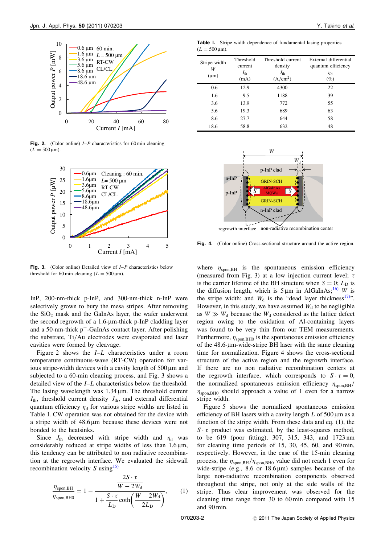

**Fig. 2.** (Color online)  $I-P$  characteristics for 60 min cleaning  $(L = 500 \,\text{\mu m})$ .



**Fig. 3.** (Color online) Detailed view of  $I-P$  characteristics below threshold for 60 min cleaning  $(L = 500 \,\text{\mu m})$ .

InP, 200-nm-thick p-InP, and 300-nm-thick n-InP were selectively grown to bury the mesa stripes. After removing the  $SiO<sub>2</sub>$  mask and the GaInAs layer, the wafer underwent the second regrowth of a  $1.6$ - $\mu$ m-thick p-InP cladding layer and a 50-nm-thick  $p^+$ -GaInAs contact layer. After polishing the substrate, Ti/Au electrodes were evaporated and laser cavities were formed by cleavage.

Figure 2 shows the I–L characteristics under a room temperature continuous-wave (RT-CW) operation for various stripe-width devices with a cavity length of  $500 \mu m$  and subjected to a 60-min cleaning process, and Fig. 3 shows a detailed view of the I–L characteristics below the threshold. The lasing wavelength was  $1.34 \mu m$ . The threshold current  $I_{\text{th}}$ , threshold current density  $J_{\text{th}}$ , and external differential quantum efficiency  $\eta_d$  for various stripe widths are listed in Table I. CW operation was not obtained for the device with a stripe width of  $48.6 \mu m$  because these devices were not bonded to the heatsinks.

Since  $J_{\text{th}}$  decreased with stripe width and  $\eta_{\text{d}}$  was considerably reduced at stripe widths of less than  $1.6 \,\mu m$ , this tendency can be attributed to non radiative recombination at the regrowth interface. We evaluated the sidewall recombination velocity S using  $15$ )

$$
\frac{\eta_{\text{spon,BH}}}{\eta_{\text{spon,BH0}}} = 1 - \frac{\frac{2S \cdot \tau}{W - 2W_{\text{d}}}}{1 + \frac{S \cdot \tau}{L_{\text{D}}} \coth\left(\frac{W - 2W_{\text{d}}}{2L_{\text{D}}}\right)},\qquad(1)
$$

Table I. Stripe width dependence of fundamental lasing properties  $(L = 500 \,\text{µm}).$ 

| Stripe width<br>W<br>$(\mu m)$ | Threshold<br>current<br>$I_{\text{th}}$<br>(mA) | Threshold current<br>density<br>$J_{\rm th}$<br>(A/cm <sup>2</sup> ) | External differential<br>quantum efficiency<br>$\eta_{\rm d}$<br>$(\%)$ |  |  |
|--------------------------------|-------------------------------------------------|----------------------------------------------------------------------|-------------------------------------------------------------------------|--|--|
| 0.6                            | 12.9                                            | 4300                                                                 | 22                                                                      |  |  |
| 1.6                            | 9.5                                             | 1188                                                                 | 39                                                                      |  |  |
| 3.6                            | 13.9                                            | 772                                                                  | 55                                                                      |  |  |
| 5.6                            | 19.3                                            | 689                                                                  | 63                                                                      |  |  |
| 8.6                            | 27.7                                            | 644                                                                  | 58                                                                      |  |  |
| 18.6                           | 58.8                                            | 632                                                                  | 48                                                                      |  |  |



non-radiative recombination center regrowth interface

Fig. 4. (Color online) Cross-sectional structure around the active region.

where  $\eta_{\text{spon,BH}}$  is the spontaneous emission efficiency (measured from Fig. 3) at a low injection current level;  $\tau$ is the carrier lifetime of the BH structure when  $S = 0$ ;  $L<sub>D</sub>$  is the diffusion length, which is  $5 \mu m$  in AlGaInAs;<sup>[16\)](#page-3-0)</sup> W is the stripe width; and  $W_d$  is the "dead layer thickness<sup>17)</sup>". However, in this study, we have assumed  $W_d$  to be negligible as  $W \gg W_d$  because the  $W_d$  considered as the lattice defect region owing to the oxidation of Al-containing layers was found to be very thin from our TEM measurements. Furthermore,  $\eta_{\text{spon,BH0}}$  is the spontaneous emission efficiency of the 48.6-m-wide-stripe BH laser with the same cleaning time for normalization. Figure 4 shows the cross-sectional structure of the active region and the regrowth interface. If there are no non radiative recombination centers at the regrowth interface, which corresponds to  $S \cdot \tau = 0$ , the normalized spontaneous emission efficiency  $\eta_{\rm spon,BH}/$  $\eta_{\rm spon,BHO}$  should approach a value of 1 even for a narrow stripe width.

Figure 5 shows the normalized spontaneous emission efficiency of BH lasers with a cavity length  $L$  of 500  $\mu$ m as a function of the stripe width. From these data and eq. (1), the  $S \cdot \tau$  product was estimated, by the least-squares method, to be 619 (poor fitting), 307, 315, 343, and 1723 nm for cleaning time periods of 15, 30, 45, 60, and 90 min, respectively. However, in the case of the 15-min cleaning process, the  $\eta_{\text{spon,BH}}/\eta_{\text{spon,BH0}}$  value did not reach 1 even for wide-stripe (e.g.,  $8.6$  or  $18.6 \mu m$ ) samples because of the large non-radiative recombination components observed throughout the stripe, not only at the side walls of the stripe. Thus clear improvement was observed for the cleaning time range from 30 to 60 min compared with 15 and 90 min.